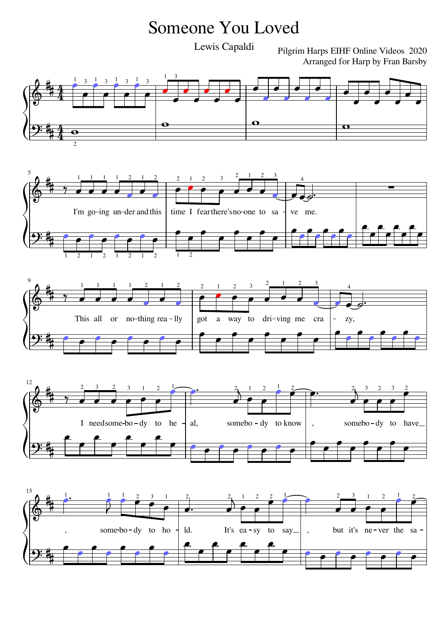## Someone You Loved

Lewis Capaldi

Pilgrim Harps EIHF Online Videos 2020 Arranged for Harp by Fran Barsby

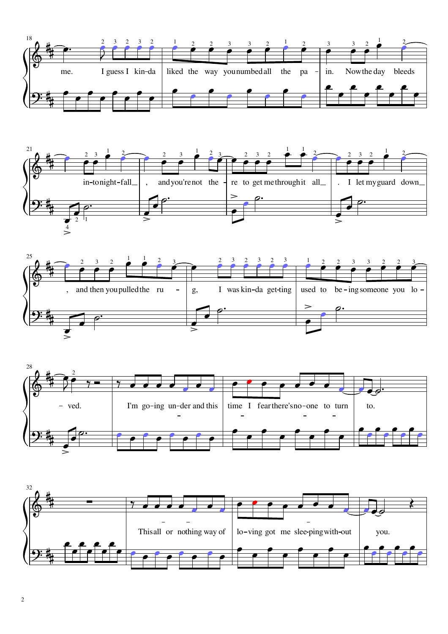







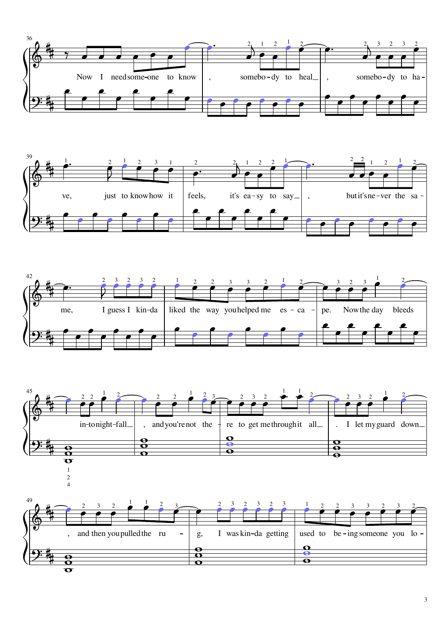







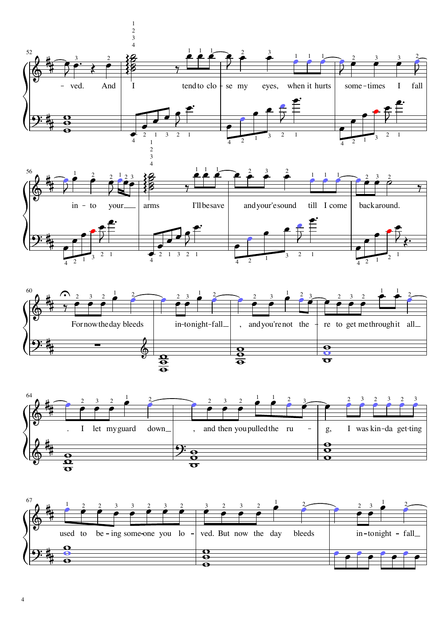